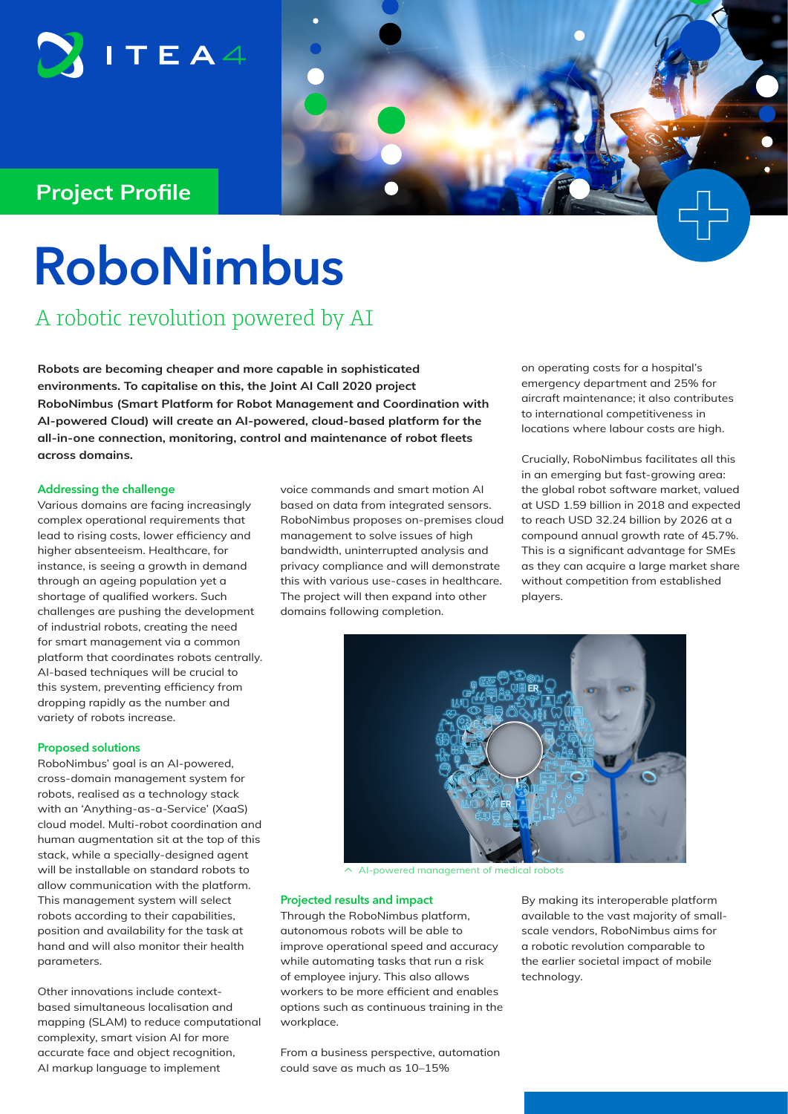

### **Project Profile**

# **RoboNimbus**

A robotic revolution powered by AI

**Robots are becoming cheaper and more capable in sophisticated environments. To capitalise on this, the Joint AI Call 2020 project RoboNimbus (Smart Platform for Robot Management and Coordination with AI-powered Cloud) will create an AI-powered, cloud-based platform for the all-in-one connection, monitoring, control and maintenance of robot fleets across domains.**

#### **Addressing the challenge**

Various domains are facing increasingly complex operational requirements that lead to rising costs, lower efficiency and higher absenteeism. Healthcare, for instance, is seeing a growth in demand through an ageing population yet a shortage of qualified workers. Such challenges are pushing the development of industrial robots, creating the need for smart management via a common platform that coordinates robots centrally. AI-based techniques will be crucial to this system, preventing efficiency from dropping rapidly as the number and variety of robots increase.

#### **Proposed solutions**

RoboNimbus' goal is an AI-powered, cross-domain management system for robots, realised as a technology stack with an 'Anything-as-a-Service' (XaaS) cloud model. Multi-robot coordination and human augmentation sit at the top of this stack, while a specially-designed agent will be installable on standard robots to allow communication with the platform. This management system will select robots according to their capabilities, position and availability for the task at hand and will also monitor their health parameters.

Other innovations include contextbased simultaneous localisation and mapping (SLAM) to reduce computational complexity, smart vision AI for more accurate face and object recognition, AI markup language to implement

voice commands and smart motion AI based on data from integrated sensors. RoboNimbus proposes on-premises cloud management to solve issues of high bandwidth, uninterrupted analysis and privacy compliance and will demonstrate this with various use-cases in healthcare. The project will then expand into other domains following completion.

on operating costs for a hospital's emergency department and 25% for aircraft maintenance; it also contributes to international competitiveness in locations where labour costs are high.

Crucially, RoboNimbus facilitates all this in an emerging but fast-growing area: the global robot software market, valued at USD 1.59 billion in 2018 and expected to reach USD 32.24 billion by 2026 at a compound annual growth rate of 45.7%. This is a significant advantage for SMEs as they can acquire a large market share without competition from established players.



 $\sim$  AI-powered management of medical robots

#### **Projected results and impact**

Through the RoboNimbus platform, autonomous robots will be able to improve operational speed and accuracy while automating tasks that run a risk of employee injury. This also allows workers to be more efficient and enables options such as continuous training in the workplace.

From a business perspective, automation could save as much as 10–15%

By making its interoperable platform available to the vast majority of smallscale vendors, RoboNimbus aims for a robotic revolution comparable to the earlier societal impact of mobile technology.